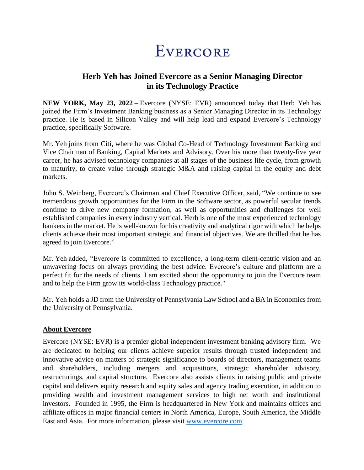## EVERCORE

## **Herb Yeh has Joined Evercore as a Senior Managing Director in its Technology Practice**

**NEW YORK, May 23, 2022** – Evercore (NYSE: EVR) announced today that Herb Yeh has joined the Firm's Investment Banking business as a Senior Managing Director in its Technology practice. He is based in Silicon Valley and will help lead and expand Evercore's Technology practice, specifically Software.

Mr. Yeh joins from Citi, where he was Global Co-Head of Technology Investment Banking and Vice Chairman of Banking, Capital Markets and Advisory. Over his more than twenty-five year career, he has advised technology companies at all stages of the business life cycle, from growth to maturity, to create value through strategic M&A and raising capital in the equity and debt markets.

John S. Weinberg, Evercore's Chairman and Chief Executive Officer, said, "We continue to see tremendous growth opportunities for the Firm in the Software sector, as powerful secular trends continue to drive new company formation, as well as opportunities and challenges for well established companies in every industry vertical. Herb is one of the most experienced technology bankers in the market. He is well-known for his creativity and analytical rigor with which he helps clients achieve their most important strategic and financial objectives. We are thrilled that he has agreed to join Evercore."

Mr. Yeh added, "Evercore is committed to excellence, a long-term client-centric vision and an unwavering focus on always providing the best advice. Evercore's culture and platform are a perfect fit for the needs of clients. I am excited about the opportunity to join the Evercore team and to help the Firm grow its world-class Technology practice."

Mr. Yeh holds a JD from the University of Pennsylvania Law School and a BA in Economics from the University of Pennsylvania.

## **About Evercore**

Evercore (NYSE: EVR) is a premier global independent investment banking advisory firm. We are dedicated to helping our clients achieve superior results through trusted independent and innovative advice on matters of strategic significance to boards of directors, management teams and shareholders, including mergers and acquisitions, strategic shareholder advisory, restructurings, and capital structure. Evercore also assists clients in raising public and private capital and delivers equity research and equity sales and agency trading execution, in addition to providing wealth and investment management services to high net worth and institutional investors. Founded in 1995, the Firm is headquartered in New York and maintains offices and affiliate offices in major financial centers in North America, Europe, South America, the Middle East and Asia. For more information, please visit [www.evercore.com.](http://www.evercore.com/)